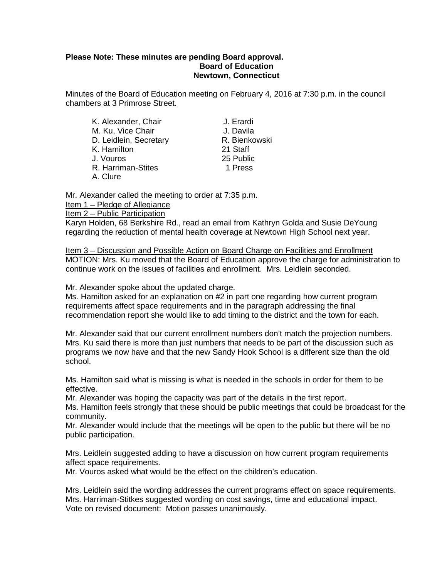#### **Please Note: These minutes are pending Board approval. Board of Education Newtown, Connecticut**

Minutes of the Board of Education meeting on February 4, 2016 at 7:30 p.m. in the council chambers at 3 Primrose Street.

| K. Alexander, Chair    | J. Erardi |
|------------------------|-----------|
| M. Ku, Vice Chair      | J. Davila |
| D. Leidlein, Secretary | R. Bienko |
| K. Hamilton            | 21 Staff  |
| J. Vouros              | 25 Public |
| R. Harriman-Stites     | 1 Press   |
| A. Clure               |           |

J. Erardi J. Davila R. Bienkowski 21 Staff 25 Public

Mr. Alexander called the meeting to order at 7:35 p.m. Item 1 – Pledge of Allegiance Item 2 – Public Participation

Karyn Holden, 68 Berkshire Rd., read an email from Kathryn Golda and Susie DeYoung regarding the reduction of mental health coverage at Newtown High School next year.

Item 3 – Discussion and Possible Action on Board Charge on Facilities and Enrollment MOTION: Mrs. Ku moved that the Board of Education approve the charge for administration to continue work on the issues of facilities and enrollment. Mrs. Leidlein seconded.

Mr. Alexander spoke about the updated charge.

Ms. Hamilton asked for an explanation on #2 in part one regarding how current program requirements affect space requirements and in the paragraph addressing the final recommendation report she would like to add timing to the district and the town for each.

Mr. Alexander said that our current enrollment numbers don't match the projection numbers. Mrs. Ku said there is more than just numbers that needs to be part of the discussion such as programs we now have and that the new Sandy Hook School is a different size than the old school.

Ms. Hamilton said what is missing is what is needed in the schools in order for them to be effective.

Mr. Alexander was hoping the capacity was part of the details in the first report.

Ms. Hamilton feels strongly that these should be public meetings that could be broadcast for the community.

Mr. Alexander would include that the meetings will be open to the public but there will be no public participation.

Mrs. Leidlein suggested adding to have a discussion on how current program requirements affect space requirements.

Mr. Vouros asked what would be the effect on the children's education.

Mrs. Leidlein said the wording addresses the current programs effect on space requirements. Mrs. Harriman-Stitkes suggested wording on cost savings, time and educational impact. Vote on revised document: Motion passes unanimously.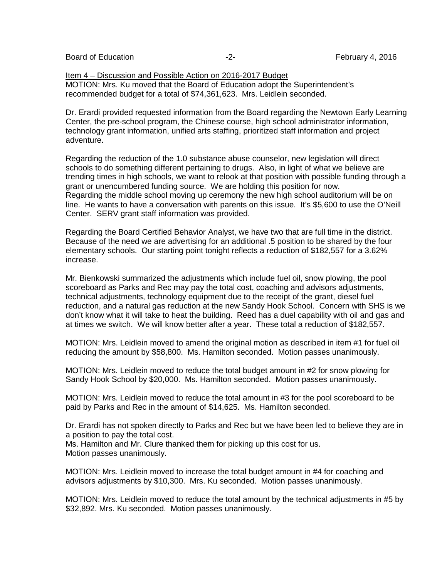Board of Education **Figure 1, 2016 February 4, 2016 February 4**, 2016

Item 4 – Discussion and Possible Action on 2016-2017 Budget MOTION: Mrs. Ku moved that the Board of Education adopt the Superintendent's recommended budget for a total of \$74,361,623. Mrs. Leidlein seconded.

Dr. Erardi provided requested information from the Board regarding the Newtown Early Learning Center, the pre-school program, the Chinese course, high school administrator information, technology grant information, unified arts staffing, prioritized staff information and project adventure.

Regarding the reduction of the 1.0 substance abuse counselor, new legislation will direct schools to do something different pertaining to drugs. Also, in light of what we believe are trending times in high schools, we want to relook at that position with possible funding through a grant or unencumbered funding source. We are holding this position for now. Regarding the middle school moving up ceremony the new high school auditorium will be on line. He wants to have a conversation with parents on this issue. It's \$5,600 to use the O'Neill Center. SERV grant staff information was provided.

Regarding the Board Certified Behavior Analyst, we have two that are full time in the district. Because of the need we are advertising for an additional .5 position to be shared by the four elementary schools. Our starting point tonight reflects a reduction of \$182,557 for a 3.62% increase.

Mr. Bienkowski summarized the adjustments which include fuel oil, snow plowing, the pool scoreboard as Parks and Rec may pay the total cost, coaching and advisors adjustments, technical adjustments, technology equipment due to the receipt of the grant, diesel fuel reduction, and a natural gas reduction at the new Sandy Hook School. Concern with SHS is we don't know what it will take to heat the building. Reed has a duel capability with oil and gas and at times we switch. We will know better after a year. These total a reduction of \$182,557.

MOTION: Mrs. Leidlein moved to amend the original motion as described in item #1 for fuel oil reducing the amount by \$58,800. Ms. Hamilton seconded. Motion passes unanimously.

MOTION: Mrs. Leidlein moved to reduce the total budget amount in #2 for snow plowing for Sandy Hook School by \$20,000. Ms. Hamilton seconded. Motion passes unanimously.

MOTION: Mrs. Leidlein moved to reduce the total amount in #3 for the pool scoreboard to be paid by Parks and Rec in the amount of \$14,625. Ms. Hamilton seconded.

Dr. Erardi has not spoken directly to Parks and Rec but we have been led to believe they are in a position to pay the total cost.

Ms. Hamilton and Mr. Clure thanked them for picking up this cost for us. Motion passes unanimously.

MOTION: Mrs. Leidlein moved to increase the total budget amount in #4 for coaching and advisors adjustments by \$10,300. Mrs. Ku seconded. Motion passes unanimously.

MOTION: Mrs. Leidlein moved to reduce the total amount by the technical adjustments in #5 by \$32,892. Mrs. Ku seconded. Motion passes unanimously.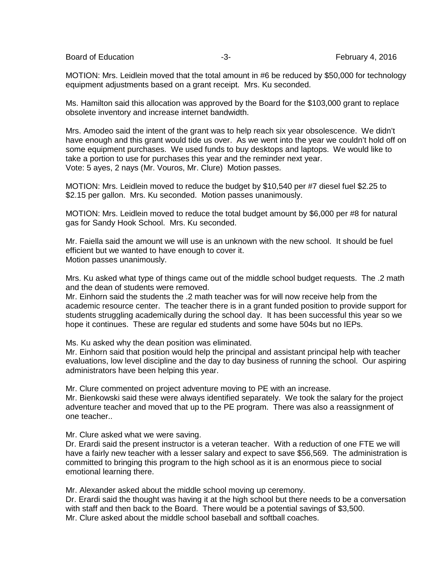Board of Education **-3-** February 4, 2016

MOTION: Mrs. Leidlein moved that the total amount in #6 be reduced by \$50,000 for technology equipment adjustments based on a grant receipt. Mrs. Ku seconded.

Ms. Hamilton said this allocation was approved by the Board for the \$103,000 grant to replace obsolete inventory and increase internet bandwidth.

Mrs. Amodeo said the intent of the grant was to help reach six year obsolescence. We didn't have enough and this grant would tide us over. As we went into the year we couldn't hold off on some equipment purchases. We used funds to buy desktops and laptops. We would like to take a portion to use for purchases this year and the reminder next year. Vote: 5 ayes, 2 nays (Mr. Vouros, Mr. Clure) Motion passes.

MOTION: Mrs. Leidlein moved to reduce the budget by \$10,540 per #7 diesel fuel \$2.25 to \$2.15 per gallon. Mrs. Ku seconded. Motion passes unanimously.

MOTION: Mrs. Leidlein moved to reduce the total budget amount by \$6,000 per #8 for natural gas for Sandy Hook School. Mrs. Ku seconded.

Mr. Faiella said the amount we will use is an unknown with the new school. It should be fuel efficient but we wanted to have enough to cover it. Motion passes unanimously.

Mrs. Ku asked what type of things came out of the middle school budget requests. The .2 math and the dean of students were removed.

Mr. Einhorn said the students the .2 math teacher was for will now receive help from the academic resource center. The teacher there is in a grant funded position to provide support for students struggling academically during the school day. It has been successful this year so we hope it continues. These are regular ed students and some have 504s but no IEPs.

Ms. Ku asked why the dean position was eliminated.

Mr. Einhorn said that position would help the principal and assistant principal help with teacher evaluations, low level discipline and the day to day business of running the school. Our aspiring administrators have been helping this year.

Mr. Clure commented on project adventure moving to PE with an increase. Mr. Bienkowski said these were always identified separately. We took the salary for the project adventure teacher and moved that up to the PE program. There was also a reassignment of one teacher..

Mr. Clure asked what we were saving.

Dr. Erardi said the present instructor is a veteran teacher. With a reduction of one FTE we will have a fairly new teacher with a lesser salary and expect to save \$56,569. The administration is committed to bringing this program to the high school as it is an enormous piece to social emotional learning there.

Mr. Alexander asked about the middle school moving up ceremony.

Dr. Erardi said the thought was having it at the high school but there needs to be a conversation with staff and then back to the Board. There would be a potential savings of \$3,500. Mr. Clure asked about the middle school baseball and softball coaches.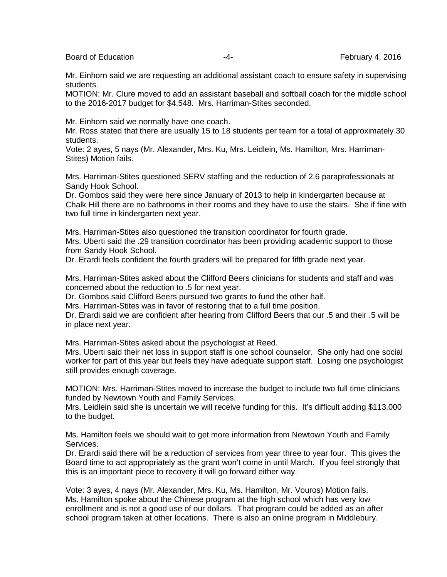Board of Education **Francisco Community -4-** February 4, 2016

Mr. Einhorn said we are requesting an additional assistant coach to ensure safety in supervising students.

MOTION: Mr. Clure moved to add an assistant baseball and softball coach for the middle school to the 2016-2017 budget for \$4,548. Mrs. Harriman-Stites seconded.

Mr. Einhorn said we normally have one coach.

Mr. Ross stated that there are usually 15 to 18 students per team for a total of approximately 30 students.

Vote: 2 ayes, 5 nays (Mr. Alexander, Mrs. Ku, Mrs. Leidlein, Ms. Hamilton, Mrs. Harriman-Stites) Motion fails.

Mrs. Harriman-Stites questioned SERV staffing and the reduction of 2.6 paraprofessionals at Sandy Hook School.

Dr. Gombos said they were here since January of 2013 to help in kindergarten because at Chalk Hill there are no bathrooms in their rooms and they have to use the stairs. She if fine with two full time in kindergarten next year.

Mrs. Harriman-Stites also questioned the transition coordinator for fourth grade. Mrs. Uberti said the .29 transition coordinator has been providing academic support to those from Sandy Hook School.

Dr. Erardi feels confident the fourth graders will be prepared for fifth grade next year.

Mrs. Harriman-Stites asked about the Clifford Beers clinicians for students and staff and was concerned about the reduction to .5 for next year.

Dr. Gombos said Clifford Beers pursued two grants to fund the other half.

Mrs. Harriman-Stites was in favor of restoring that to a full time position.

Dr. Erardi said we are confident after hearing from Clifford Beers that our .5 and their .5 will be in place next year.

Mrs. Harriman-Stites asked about the psychologist at Reed.

Mrs. Uberti said their net loss in support staff is one school counselor. She only had one social worker for part of this year but feels they have adequate support staff. Losing one psychologist still provides enough coverage.

MOTION: Mrs. Harriman-Stites moved to increase the budget to include two full time clinicians funded by Newtown Youth and Family Services.

Mrs. Leidlein said she is uncertain we will receive funding for this. It's difficult adding \$113,000 to the budget.

Ms. Hamilton feels we should wait to get more information from Newtown Youth and Family Services.

Dr. Erardi said there will be a reduction of services from year three to year four. This gives the Board time to act appropriately as the grant won't come in until March. If you feel strongly that this is an important piece to recovery it will go forward either way.

Vote: 3 ayes, 4 nays (Mr. Alexander, Mrs. Ku, Ms. Hamilton, Mr. Vouros) Motion fails. Ms. Hamilton spoke about the Chinese program at the high school which has very low enrollment and is not a good use of our dollars. That program could be added as an after school program taken at other locations. There is also an online program in Middlebury.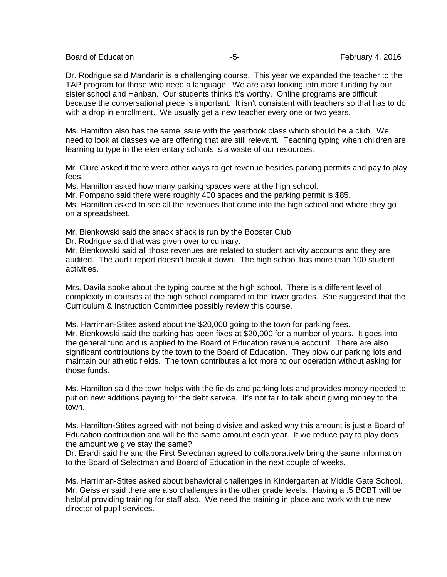Board of Education **Franchise Community** 1.2016 **February 4, 2016** 

Dr. Rodrigue said Mandarin is a challenging course. This year we expanded the teacher to the TAP program for those who need a language. We are also looking into more funding by our sister school and Hanban. Our students thinks it's worthy. Online programs are difficult because the conversational piece is important. It isn't consistent with teachers so that has to do with a drop in enrollment. We usually get a new teacher every one or two years.

Ms. Hamilton also has the same issue with the yearbook class which should be a club. We need to look at classes we are offering that are still relevant. Teaching typing when children are learning to type in the elementary schools is a waste of our resources.

Mr. Clure asked if there were other ways to get revenue besides parking permits and pay to play fees.

Ms. Hamilton asked how many parking spaces were at the high school.

Mr. Pompano said there were roughly 400 spaces and the parking permit is \$85.

Ms. Hamilton asked to see all the revenues that come into the high school and where they go on a spreadsheet.

Mr. Bienkowski said the snack shack is run by the Booster Club.

Dr. Rodrigue said that was given over to culinary.

Mr. Bienkowski said all those revenues are related to student activity accounts and they are audited. The audit report doesn't break it down. The high school has more than 100 student activities.

Mrs. Davila spoke about the typing course at the high school. There is a different level of complexity in courses at the high school compared to the lower grades. She suggested that the Curriculum & Instruction Committee possibly review this course.

Ms. Harriman-Stites asked about the \$20,000 going to the town for parking fees.

Mr. Bienkowski said the parking has been fixes at \$20,000 for a number of years. It goes into the general fund and is applied to the Board of Education revenue account. There are also significant contributions by the town to the Board of Education. They plow our parking lots and maintain our athletic fields. The town contributes a lot more to our operation without asking for those funds.

Ms. Hamilton said the town helps with the fields and parking lots and provides money needed to put on new additions paying for the debt service. It's not fair to talk about giving money to the town.

Ms. Hamilton-Stites agreed with not being divisive and asked why this amount is just a Board of Education contribution and will be the same amount each year. If we reduce pay to play does the amount we give stay the same?

Dr. Erardi said he and the First Selectman agreed to collaboratively bring the same information to the Board of Selectman and Board of Education in the next couple of weeks.

Ms. Harriman-Stites asked about behavioral challenges in Kindergarten at Middle Gate School. Mr. Geissler said there are also challenges in the other grade levels. Having a .5 BCBT will be helpful providing training for staff also. We need the training in place and work with the new director of pupil services.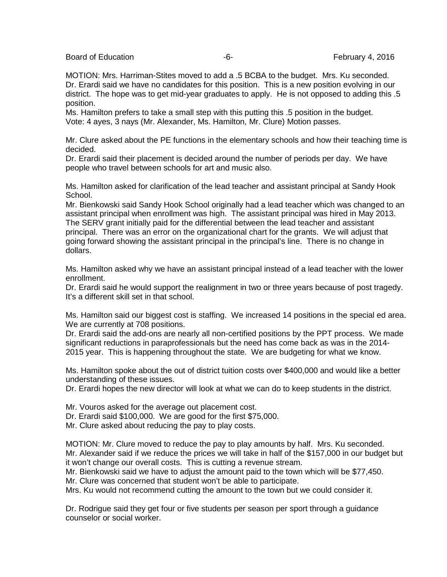Board of Education **Franchise Community** Controller February 4, 2016

MOTION: Mrs. Harriman-Stites moved to add a .5 BCBA to the budget. Mrs. Ku seconded. Dr. Erardi said we have no candidates for this position. This is a new position evolving in our district. The hope was to get mid-year graduates to apply. He is not opposed to adding this .5 position.

Ms. Hamilton prefers to take a small step with this putting this .5 position in the budget. Vote: 4 ayes, 3 nays (Mr. Alexander, Ms. Hamilton, Mr. Clure) Motion passes.

Mr. Clure asked about the PE functions in the elementary schools and how their teaching time is decided.

Dr. Erardi said their placement is decided around the number of periods per day. We have people who travel between schools for art and music also.

Ms. Hamilton asked for clarification of the lead teacher and assistant principal at Sandy Hook School.

Mr. Bienkowski said Sandy Hook School originally had a lead teacher which was changed to an assistant principal when enrollment was high. The assistant principal was hired in May 2013. The SERV grant initially paid for the differential between the lead teacher and assistant principal. There was an error on the organizational chart for the grants. We will adjust that going forward showing the assistant principal in the principal's line. There is no change in dollars.

Ms. Hamilton asked why we have an assistant principal instead of a lead teacher with the lower enrollment.

Dr. Erardi said he would support the realignment in two or three years because of post tragedy. It's a different skill set in that school.

Ms. Hamilton said our biggest cost is staffing. We increased 14 positions in the special ed area. We are currently at 708 positions.

Dr. Erardi said the add-ons are nearly all non-certified positions by the PPT process. We made significant reductions in paraprofessionals but the need has come back as was in the 2014- 2015 year. This is happening throughout the state. We are budgeting for what we know.

Ms. Hamilton spoke about the out of district tuition costs over \$400,000 and would like a better understanding of these issues.

Dr. Erardi hopes the new director will look at what we can do to keep students in the district.

Mr. Vouros asked for the average out placement cost.

Dr. Erardi said \$100,000. We are good for the first \$75,000.

Mr. Clure asked about reducing the pay to play costs.

MOTION: Mr. Clure moved to reduce the pay to play amounts by half. Mrs. Ku seconded. Mr. Alexander said if we reduce the prices we will take in half of the \$157,000 in our budget but it won't change our overall costs. This is cutting a revenue stream.

Mr. Bienkowski said we have to adjust the amount paid to the town which will be \$77,450. Mr. Clure was concerned that student won't be able to participate.

Mrs. Ku would not recommend cutting the amount to the town but we could consider it.

Dr. Rodrigue said they get four or five students per season per sport through a guidance counselor or social worker.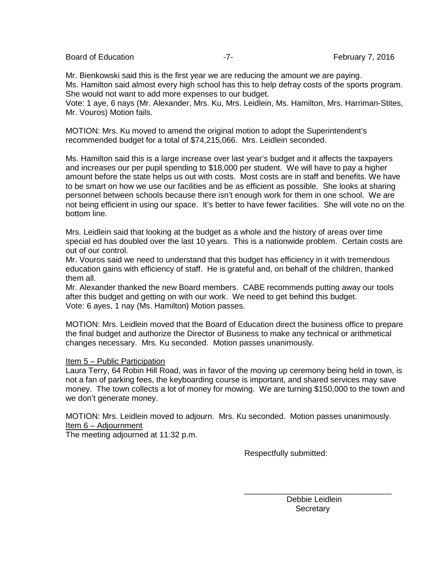Board of Education **Example 2016** -7- February 7, 2016

Mr. Bienkowski said this is the first year we are reducing the amount we are paying. Ms. Hamilton said almost every high school has this to help defray costs of the sports program. She would not want to add more expenses to our budget.

Vote: 1 aye, 6 nays (Mr. Alexander, Mrs. Ku, Mrs. Leidlein, Ms. Hamilton, Mrs. Harriman-Stites, Mr. Vouros) Motion fails.

MOTION: Mrs. Ku moved to amend the original motion to adopt the Superintendent's recommended budget for a total of \$74,215,066. Mrs. Leidlein seconded.

Ms. Hamilton said this is a large increase over last year's budget and it affects the taxpayers and increases our per pupil spending to \$18,000 per student. We will have to pay a higher amount before the state helps us out with costs. Most costs are in staff and benefits. We have to be smart on how we use our facilities and be as efficient as possible. She looks at sharing personnel between schools because there isn't enough work for them in one school. We are not being efficient in using our space. It's better to have fewer facilities. She will vote no on the bottom line.

Mrs. Leidlein said that looking at the budget as a whole and the history of areas over time special ed has doubled over the last 10 years. This is a nationwide problem. Certain costs are out of our control.

Mr. Vouros said we need to understand that this budget has efficiency in it with tremendous education gains with efficiency of staff. He is grateful and, on behalf of the children, thanked them all.

Mr. Alexander thanked the new Board members. CABE recommends putting away our tools after this budget and getting on with our work. We need to get behind this budget. Vote: 6 ayes, 1 nay (Ms. Hamilton) Motion passes.

MOTION: Mrs. Leidlein moved that the Board of Education direct the business office to prepare the final budget and authorize the Director of Business to make any technical or arithmetical changes necessary. Mrs. Ku seconded. Motion passes unanimously.

#### Item 5 – Public Participation

Laura Terry, 64 Robin Hill Road, was in favor of the moving up ceremony being held in town, is not a fan of parking fees, the keyboarding course is important, and shared services may save money. The town collects a lot of money for mowing. We are turning \$150,000 to the town and we don't generate money.

MOTION: Mrs. Leidlein moved to adjourn. Mrs. Ku seconded. Motion passes unanimously. Item 6 – Adjournment

 $\frac{1}{2}$  ,  $\frac{1}{2}$  ,  $\frac{1}{2}$  ,  $\frac{1}{2}$  ,  $\frac{1}{2}$  ,  $\frac{1}{2}$  ,  $\frac{1}{2}$  ,  $\frac{1}{2}$  ,  $\frac{1}{2}$  ,  $\frac{1}{2}$  ,  $\frac{1}{2}$  ,  $\frac{1}{2}$  ,  $\frac{1}{2}$  ,  $\frac{1}{2}$  ,  $\frac{1}{2}$  ,  $\frac{1}{2}$  ,  $\frac{1}{2}$  ,  $\frac{1}{2}$  ,  $\frac{1$ 

The meeting adjourned at 11:32 p.m.

Respectfully submitted:

 Debbie Leidlein **Secretary**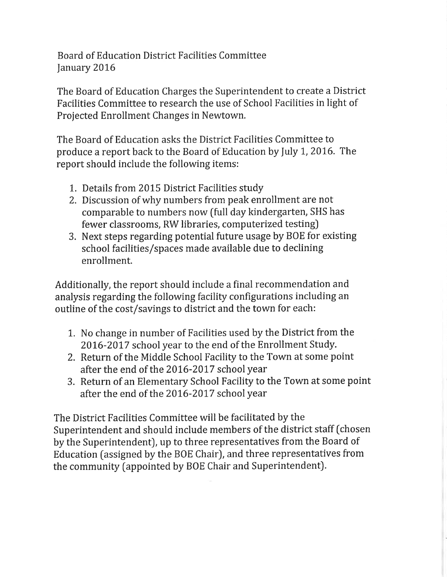**Board of Education District Facilities Committee** January 2016

The Board of Education Charges the Superintendent to create a District Facilities Committee to research the use of School Facilities in light of Projected Enrollment Changes in Newtown.

The Board of Education asks the District Facilities Committee to produce a report back to the Board of Education by July 1, 2016. The report should include the following items:

- 1. Details from 2015 District Facilities study
- 2. Discussion of why numbers from peak enrollment are not comparable to numbers now (full day kindergarten, SHS has fewer classrooms, RW libraries, computerized testing)
- 3. Next steps regarding potential future usage by BOE for existing school facilities/spaces made available due to declining enrollment.

Additionally, the report should include a final recommendation and analysis regarding the following facility configurations including an outline of the cost/savings to district and the town for each:

- 1. No change in number of Facilities used by the District from the 2016-2017 school year to the end of the Enrollment Study.
- 2. Return of the Middle School Facility to the Town at some point after the end of the 2016-2017 school year
- 3. Return of an Elementary School Facility to the Town at some point after the end of the 2016-2017 school year

The District Facilities Committee will be facilitated by the Superintendent and should include members of the district staff (chosen by the Superintendent), up to three representatives from the Board of Education (assigned by the BOE Chair), and three representatives from the community (appointed by BOE Chair and Superintendent).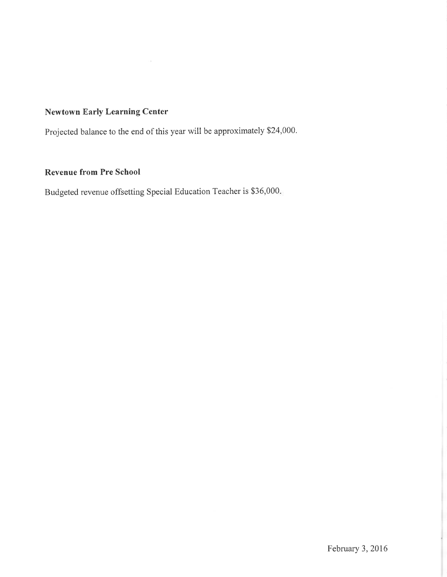## **Newtown Early Learning Center**

Projected balance to the end of this year will be approximately \$24,000.

## **Revenue from Pre School**

Budgeted revenue offsetting Special Education Teacher is \$36,000.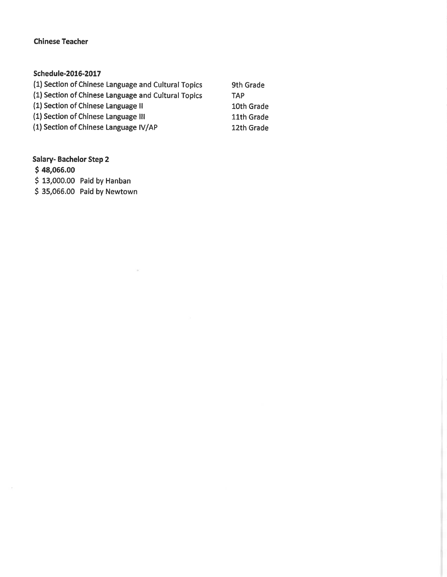## **Chinese Teacher**

# Schedule-2016-2017

| (1) Section of Chinese Language and Cultural Topics | 9th Grade  |
|-----------------------------------------------------|------------|
| (1) Section of Chinese Language and Cultural Topics | <b>TAP</b> |
| (1) Section of Chinese Language II                  | 10th Grade |
| (1) Section of Chinese Language III                 | 11th Grade |
| (1) Section of Chinese Language IV/AP               | 12th Grade |

 $\mathcal{A}$ 

# **Salary-Bachelor Step 2**

 $$48,066.00$ 

 $\sim$ 

\$13,000.00 Paid by Hanban

\$35,066.00 Paid by Newtown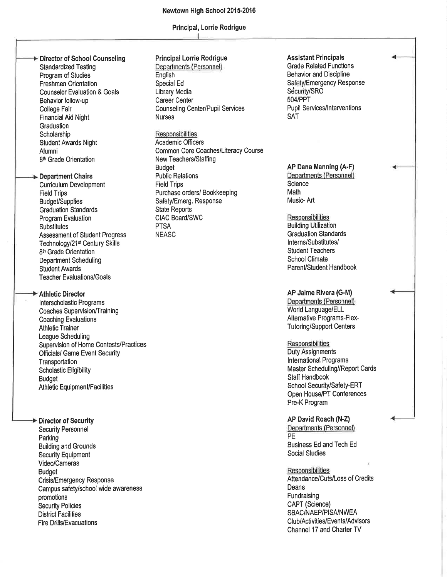#### Newtown High School 2015-2016

#### Principal, Lorrie Rodrigue

#### Director of School Counseling **Standardized Testing** Program of Studies **Freshmen Orientation Counselor Evaluation & Goals** Behavior follow-up College Fair

**Financial Aid Night** Graduation Scholarship **Student Awards Night** Alumni 8<sup>th</sup> Grade Orientation

#### Department Chairs

**Curriculum Development Field Trips Budget/Supplies Graduation Standards** Program Evaluation **Substitutes Assessment of Student Progress** Technology/21<sup>st</sup> Century Skills 8<sup>th</sup> Grade Orientation **Department Scheduling Student Awards Teacher Evaluations/Goals** 

## Athletic Director

Interscholastic Programs Coaches Supervision/Training **Coaching Evaluations Athletic Trainer League Scheduling** Supervision of Home Contests/Practices **Officials/ Game Event Security** Transportation **Scholastic Eligibility Budget Athletic Equipment/Facilities** 

# Director of Security

**Security Personnel** Parking **Building and Grounds Security Equipment** Video/Cameras **Budget Crisis/Emergency Response** Campus safety/school wide awareness promotions **Security Policies District Facilities Fire Drills/Evacuations** 

#### **Principal Lorrie Rodrigue**

Departments (Personnel) English Special Ed Library Media Career Center **Counseling Center/Pupil Services Nurses** 

### Responsibilities

**Academic Officers** Common Core Coaches/Literacy Course New Teachers/Staffing **Budget Public Relations Field Trips** Purchase orders/ Bookkeeping Safety/Emerg. Response **State Reports** CIAC Board/SWC **PTSA NEASC** 

#### **Assistant Principals**

**Grade Related Functions Behavior and Discipline** Safety/Emergency Response Security/SRO 504/PPT **Pupil Services/Interventions** SAT

#### AP Dana Manning (A-F) Departments (Personnel)

Science Math Music-Art

#### Responsibilities

**Building Utilization Graduation Standards** Interns/Substitutes/ **Student Teachers School Climate** Parent/Student Handbook

#### AP Jaime Rivera (G-M)

Departments (Personnel) World Language/ELL Alternative Programs-Flex-**Tutoring/Support Centers** 

#### Responsibilities

**Duty Assignments International Programs** Master Scheduling//Report Cards **Staff Handbook** School Security/Safety-ERT Open House/PT Conferences Pre-K Program

## AP David Roach (N-Z)

Departments (Personnel) PE **Business Ed and Tech Ed Social Studies** 

#### **Responsibilities**

Attendance/Cuts/Loss of Credits Deans Fundraising CAPT (Science) SBAC/NAEP/PISA/NWEA Club/Activities/Events/Advisors Channel 17 and Charter TV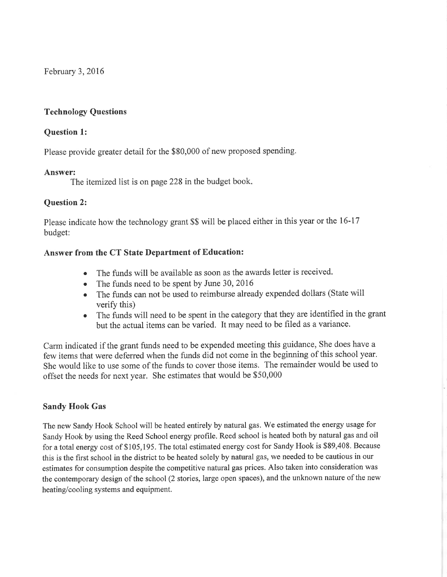February 3, 2016

## **Technology Questions**

## **Question 1:**

Please provide greater detail for the \$80,000 of new proposed spending.

### Answer:

The itemized list is on page 228 in the budget book.

## **Question 2:**

Please indicate how the technology grant \$\$ will be placed either in this year or the 16-17 budget:

## Answer from the CT State Department of Education:

- The funds will be available as soon as the awards letter is received.
- The funds need to be spent by June 30, 2016
- The funds can not be used to reimburse already expended dollars (State will verify this)
- The funds will need to be spent in the category that they are identified in the grant but the actual items can be varied. It may need to be filed as a variance.

Carm indicated if the grant funds need to be expended meeting this guidance, She does have a few items that were deferred when the funds did not come in the beginning of this school year. She would like to use some of the funds to cover those items. The remainder would be used to offset the needs for next year. She estimates that would be \$50,000

## **Sandy Hook Gas**

The new Sandy Hook School will be heated entirely by natural gas. We estimated the energy usage for Sandy Hook by using the Reed School energy profile. Reed school is heated both by natural gas and oil for a total energy cost of \$105,195. The total estimated energy cost for Sandy Hook is \$89,408. Because this is the first school in the district to be heated solely by natural gas, we needed to be cautious in our estimates for consumption despite the competitive natural gas prices. Also taken into consideration was the contemporary design of the school (2 stories, large open spaces), and the unknown nature of the new heating/cooling systems and equipment.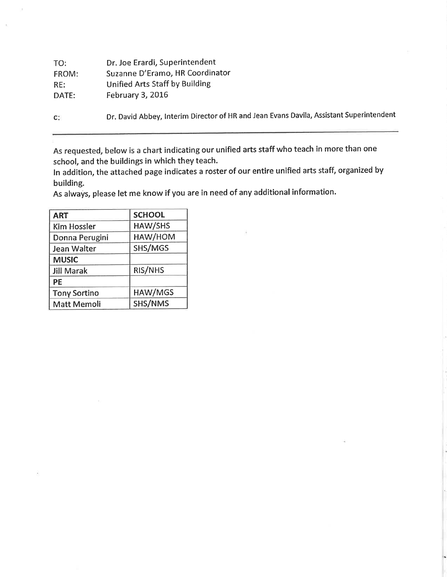| TO:   | Dr. Joe Erardi, Superintendent                                                          |
|-------|-----------------------------------------------------------------------------------------|
| FROM: | Suzanne D'Eramo, HR Coordinator                                                         |
| RE:   | <b>Unified Arts Staff by Building</b>                                                   |
| DATE: | February 3, 2016                                                                        |
| $C^*$ | Dr. David Abbey, Interim Director of HR and Jean Evans Davila, Assistant Superintendent |

As requested, below is a chart indicating our unified arts staff who teach in more than one school, and the buildings in which they teach.

In addition, the attached page indicates a roster of our entire unified arts staff, organized by building.

As always, please let me know if you are in need of any additional information.

| <b>ART</b>          | <b>SCHOOL</b> |
|---------------------|---------------|
| <b>Kim Hossler</b>  | HAW/SHS       |
| Donna Perugini      | HAW/HOM       |
| Jean Walter         | SHS/MGS       |
| <b>MUSIC</b>        |               |
| <b>Jill Marak</b>   | RIS/NHS       |
| РE                  |               |
| <b>Tony Sortino</b> | HAW/MGS       |
| <b>Matt Memoli</b>  | SHS/NMS       |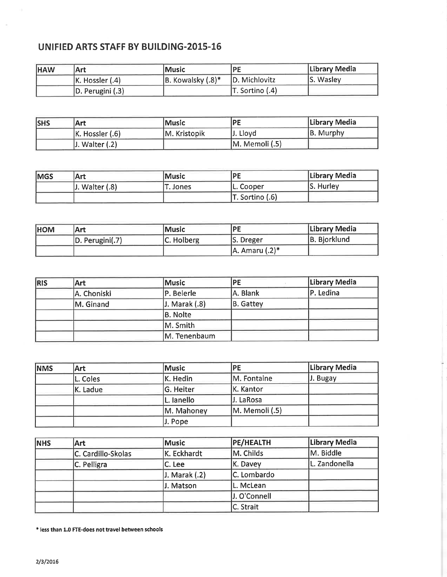# UNIFIED ARTS STAFF BY BUILDING-2015-16

| <b>HAW</b> | Art                  | lMusic                  | /PF             | Library Media |
|------------|----------------------|-------------------------|-----------------|---------------|
|            | $ K.$ Hossler $(.4)$ | $ B.$ Kowalsky $(.8)^*$ | D. Michlovitz   | S. Wasley     |
|            | D. Perugini (.3)     |                         | T. Sortino (.4) |               |

| <b>SHS</b> | Art             | <u> Music</u> | IPE            | Library Media |
|------------|-----------------|---------------|----------------|---------------|
|            | K. Hossler (.6) | IM. Kristopik | J. Lloyd       | B. Murphy     |
|            | Walter $(.2)$   |               | M. Memoli (.5) |               |

| <b>MGS</b> | Art                 | Music    | <b>IPF</b>      | Library Media |
|------------|---------------------|----------|-----------------|---------------|
|            | $ J.$ Walter $(.8)$ | T. Jones | L. Cooper       | $ S.$ Hurley  |
|            |                     |          | T. Sortino (.6) |               |

| <b>HOM</b> | <b>Art</b>            | <b>IMusic</b> | IPE                  | Library Media |
|------------|-----------------------|---------------|----------------------|---------------|
|            | $ D.$ Perugini $(.7)$ | C. Holberg    | S. Dreger            | B. Biorklund  |
|            |                       |               | $A$ . Amaru $(.2)^*$ |               |

| <b>RIS</b> | <b>Art</b>  | Music             | PE        | Library Media |
|------------|-------------|-------------------|-----------|---------------|
|            | A. Choniski | P. Beierle        | A. Blank  | P. Ledina     |
|            | M. Ginand   | $J.$ Marak $(.8)$ | B. Gattey |               |
|            |             | B. Nolte          |           |               |
|            |             | M. Smith          |           |               |
|            |             | M. Tenenbaum      |           |               |

| <b>NMS</b> | <b>Art</b> | Music      | <b>IPE</b>          | Library Media |
|------------|------------|------------|---------------------|---------------|
|            | L. Coles   | K. Hedin   | M. Fontaine         | J. Bugay      |
|            | K. Ladue   | G. Heiter  | K. Kantor           |               |
|            |            | L. lanello | J. LaRosa           |               |
|            |            | M. Mahoney | $ M.$ Memoli $(.5)$ |               |
|            |            | J. Pope    |                     |               |

| <b>NHS</b> | Art                | Music         | <b>PE/HEALTH</b> | Library Media |
|------------|--------------------|---------------|------------------|---------------|
|            | C. Cardillo-Skolas | K. Eckhardt   | M. Childs        | M. Biddle     |
|            | C. Pelligra        | C. Lee        | K. Davey         | L. Zandonella |
|            |                    | J. Marak (.2) | C. Lombardo      |               |
|            |                    | J. Matson     | L. McLean        |               |
|            |                    |               | J. O'Connell     |               |
|            |                    |               | C. Strait        |               |

\* less than 1.0 FTE-does not travel between schools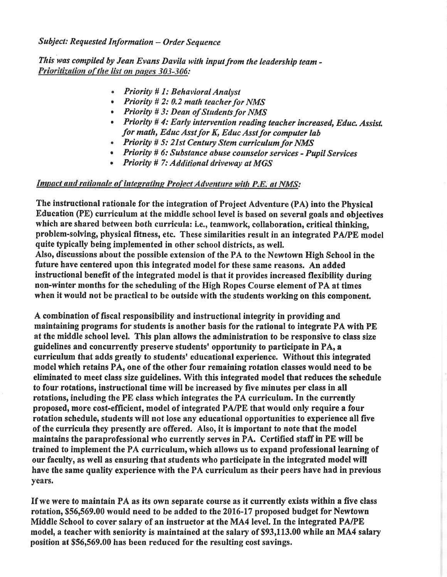## **Subject: Requested Information - Order Sequence**

This was compiled by Jean Evans Davila with input from the leadership team -Prioritization of the list on pages 303-306:

- Priority # 1: Behavioral Analyst
- Priority  $# 2: 0.2$  math teacher for NMS
- Priority # 3: Dean of Students for NMS
- Priority # 4: Early intervention reading teacher increased, Educ. Assist. for math, Educ Asst for K, Educ Asst for computer lab
- Priority # 5: 21st Century Stem curriculum for NMS
- Priority # 6: Substance abuse counselor services Pupil Services
- **Priority # 7: Additional driveway at MGS**

## Impact and rationale of integrating Project Adventure with P.E. at NMS:

The instructional rationale for the integration of Project Adventure (PA) into the Physical Education (PE) curriculum at the middle school level is based on several goals and objectives which are shared between both curricula: i.e., teamwork, collaboration, critical thinking, problem-solving, physical fitness, etc. These similarities result in an integrated PA/PE model quite typically being implemented in other school districts, as well. Also, discussions about the possible extension of the PA to the Newtown High School in the future have centered upon this integrated model for these same reasons. An added instructional benefit of the integrated model is that it provides increased flexibility during non-winter months for the scheduling of the High Ropes Course element of PA at times

when it would not be practical to be outside with the students working on this component.

A combination of fiscal responsibility and instructional integrity in providing and maintaining programs for students is another basis for the rational to integrate PA with PE at the middle school level. This plan allows the administration to be responsive to class size guidelines and concurrently preserve students' opportunity to participate in PA, a curriculum that adds greatly to students' educational experience. Without this integrated model which retains PA, one of the other four remaining rotation classes would need to be eliminated to meet class size guidelines. With this integrated model that reduces the schedule to four rotations, instructional time will be increased by five minutes per class in all rotations, including the PE class which integrates the PA curriculum. In the currently proposed, more cost-efficient, model of integrated PA/PE that would only require a four rotation schedule, students will not lose any educational opportunities to experience all five of the curricula they presently are offered. Also, it is important to note that the model maintains the paraprofessional who currently serves in PA. Certified staff in PE will be trained to implement the PA curriculum, which allows us to expand professional learning of our faculty, as well as ensuring that students who participate in the integrated model will have the same quality experience with the PA curriculum as their peers have had in previous years.

If we were to maintain PA as its own separate course as it currently exists within a five class rotation, \$56,569.00 would need to be added to the 2016-17 proposed budget for Newtown Middle School to cover salary of an instructor at the MA4 level. In the integrated PA/PE model, a teacher with seniority is maintained at the salary of \$93,113.00 while an MA4 salary position at \$56,569.00 has been reduced for the resulting cost savings.